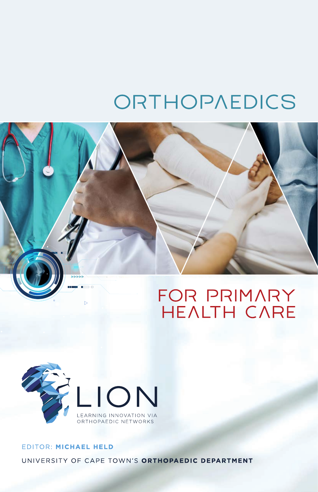# ORTHOPAEDICS





# EDITOR: MICHAEL HELD UNIVERSITY OF CAPE TOWN'S ORTHOPAEDIC DEPARTMENT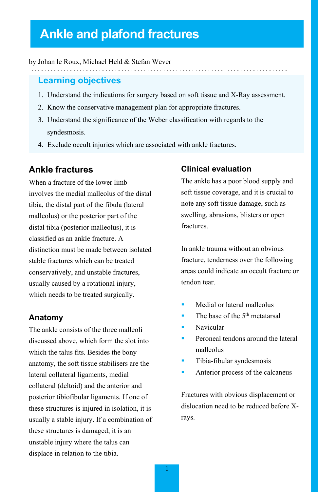# **Ankle and plafond fractures**

#### by Johan le Roux, Michael Held & Stefan Wever

#### **Learning objectives**

- 1. Understand the indications for surgery based on soft tissue and X-Ray assessment.
- 2. Know the conservative management plan for appropriate fractures.
- 3. Understand the significance of the Weber classification with regards to the syndesmosis.
- 4. Exclude occult injuries which are associated with ankle fractures.

#### **Ankle fractures**

When a fracture of the lower limb involves the medial malleolus of the distal tibia, the distal part of the fibula (lateral malleolus) or the posterior part of the distal tibia (posterior malleolus), it is classified as an ankle fracture. A distinction must be made between isolated stable fractures which can be treated conservatively, and unstable fractures, usually caused by a rotational injury, which needs to be treated surgically.

#### **Anatomy**

The ankle consists of the three malleoli discussed above, which form the slot into which the talus fits. Besides the bony anatomy, the soft tissue stabilisers are the lateral collateral ligaments, medial collateral (deltoid) and the anterior and posterior tibiofibular ligaments. If one of these structures is injured in isolation, it is usually a stable injury. If a combination of these structures is damaged, it is an unstable injury where the talus can displace in relation to the tibia.

#### **Clinical evaluation**

The ankle has a poor blood supply and soft tissue coverage, and it is crucial to note any soft tissue damage, such as swelling, abrasions, blisters or open fractures.

In ankle trauma without an obvious fracture, tenderness over the following areas could indicate an occult fracture or tendon tear.

- Medial or lateral malleolus
- The base of the 5<sup>th</sup> metatarsal
- Navicular
- Peroneal tendons around the lateral malleolus
- Tibia-fibular syndesmosis
- Anterior process of the calcaneus

Fractures with obvious displacement or dislocation need to be reduced before Xrays.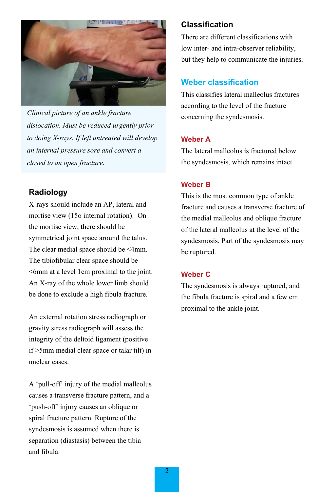

*Clinical picture of an ankle fracture dislocation. Must be reduced urgently prior to doing X-rays. If left untreated will develop an internal pressure sore and convert a closed to an open fracture.*

## **Radiology**

X-rays should include an AP, lateral and mortise view (15o internal rotation). On the mortise view, there should be symmetrical joint space around the talus. The clear medial space should be <4mm. The tibiofibular clear space should be <6mm at a level 1cm proximal to the joint. An X-ray of the whole lower limb should be done to exclude a high fibula fracture.

An external rotation stress radiograph or gravity stress radiograph will assess the integrity of the deltoid ligament (positive if >5mm medial clear space or talar tilt) in unclear cases.

A 'pull-off' injury of the medial malleolus causes a transverse fracture pattern, and a 'push-off' injury causes an oblique or spiral fracture pattern. Rupture of the syndesmosis is assumed when there is separation (diastasis) between the tibia and fibula.

#### **Classification**

There are different classifications with low inter- and intra-observer reliability, but they help to communicate the injuries.

# **Weber classification**

This classifies lateral malleolus fractures according to the level of the fracture concerning the syndesmosis.

#### **Weber A**

The lateral malleolus is fractured below the syndesmosis, which remains intact.

#### **Weber B**

This is the most common type of ankle fracture and causes a transverse fracture of the medial malleolus and oblique fracture of the lateral malleolus at the level of the syndesmosis. Part of the syndesmosis may be ruptured.

#### **Weber C**

The syndesmosis is always ruptured, and the fibula fracture is spiral and a few cm proximal to the ankle joint.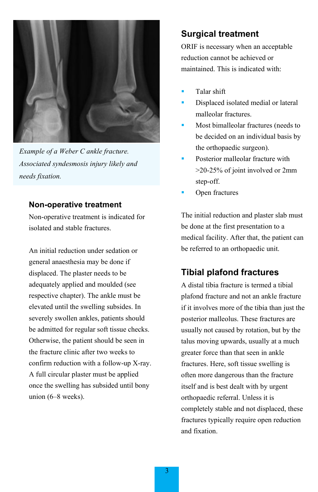

*Example of a Weber C ankle fracture. Associated syndesmosis injury likely and needs fixation.*

#### **Non-operative treatment**

Non-operative treatment is indicated for isolated and stable fractures.

An initial reduction under sedation or general anaesthesia may be done if displaced. The plaster needs to be adequately applied and moulded (see respective chapter). The ankle must be elevated until the swelling subsides. In severely swollen ankles, patients should be admitted for regular soft tissue checks. Otherwise, the patient should be seen in the fracture clinic after two weeks to confirm reduction with a follow-up X-ray. A full circular plaster must be applied once the swelling has subsided until bony union (6–8 weeks).

# **Surgical treatment**

ORIF is necessary when an acceptable reduction cannot be achieved or maintained. This is indicated with:

- Talar shift
- Displaced isolated medial or lateral malleolar fractures.
- Most bimalleolar fractures (needs to be decided on an individual basis by the orthopaedic surgeon).
- Posterior malleolar fracture with >20-25% of joint involved or 2mm step-off.
- Open fractures

The initial reduction and plaster slab must be done at the first presentation to a medical facility. After that, the patient can be referred to an orthopaedic unit.

# **Tibial plafond fractures**

A distal tibia fracture is termed a tibial plafond fracture and not an ankle fracture if it involves more of the tibia than just the posterior malleolus. These fractures are usually not caused by rotation, but by the talus moving upwards, usually at a much greater force than that seen in ankle fractures. Here, soft tissue swelling is often more dangerous than the fracture itself and is best dealt with by urgent orthopaedic referral. Unless it is completely stable and not displaced, these fractures typically require open reduction and fixation.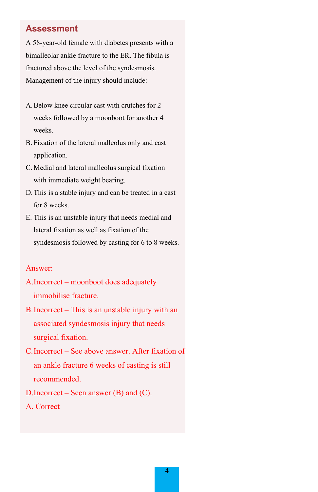## **Assessment**

A 58-year-old female with diabetes presents with a bimalleolar ankle fracture to the ER. The fibula is fractured above the level of the syndesmosis. Management of the injury should include:

- A.Below knee circular cast with crutches for 2 weeks followed by a moonboot for another 4 weeks.
- B. Fixation of the lateral malleolus only and cast application.
- C. Medial and lateral malleolus surgical fixation with immediate weight bearing.
- D.This is a stable injury and can be treated in a cast for 8 weeks.
- E. This is an unstable injury that needs medial and lateral fixation as well as fixation of the syndesmosis followed by casting for 6 to 8 weeks.

#### Answer:

- A.Incorrect moonboot does adequately immobilise fracture.
- B.Incorrect This is an unstable injury with an associated syndesmosis injury that needs surgical fixation.
- C.Incorrect See above answer. After fixation of an ankle fracture 6 weeks of casting is still recommended.
- D.Incorrect Seen answer (B) and (C).
- A. Correct